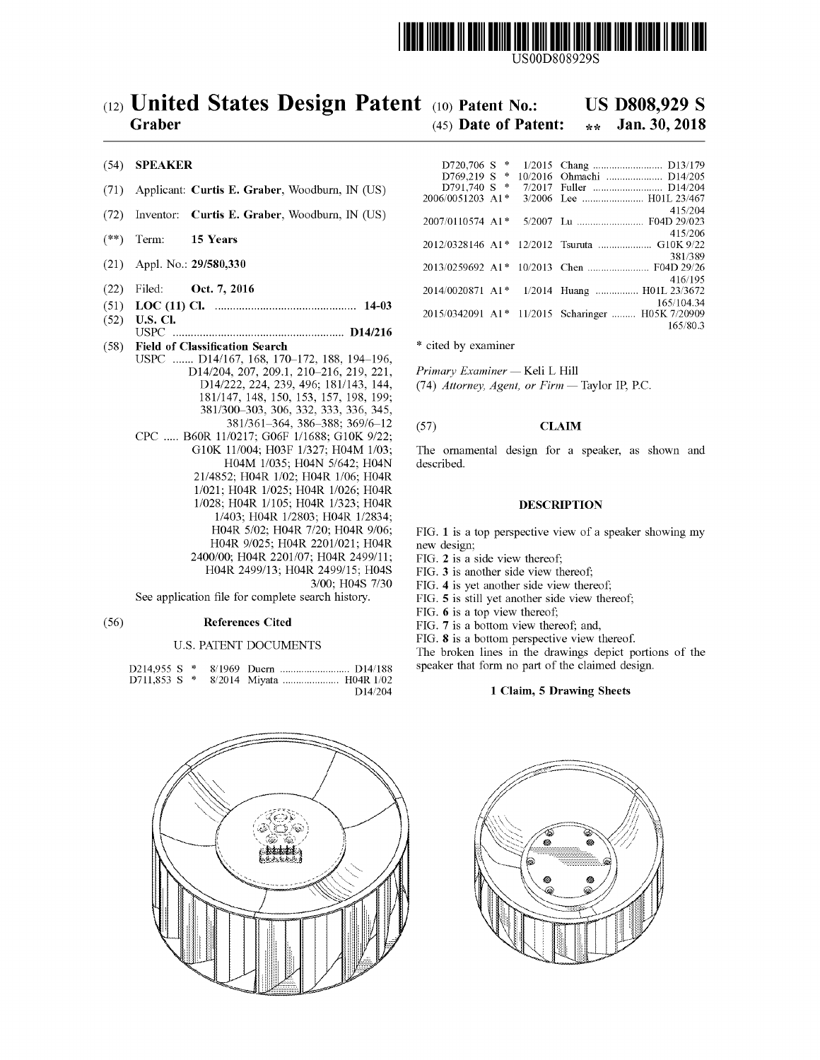

# (12) United States Design Patent (10) Patent No.:<br>Graber (45) Date of Patent:

## US D808,929 S<br>\*\* Jan. 30, 2018

#### $(45)$  Date of Patent: Jan. 30, 2018

#### (54) SPEAKER

- (71) Applicant: Curtis E. Graber, Woodburn, IN (US)
- (72) Inventor: Curtis E. Graber, Woodburn, IN (US)
- $(**)$  Term: 15 Years
- (21) Appl. No.: 29/580,330
- (22) Filed: Oct. 7, 2016
- ( 51 ) LOC ( 11 ) CI . 14 03
- ( 52 ) U . S . CI . USPC . . . . . . . . . . . . . . . . . . . D14 / 216
- (58) **Field of Classification Search**<br>USPC ....... D14/167, 168, 170-172, 188, 194-196, USPC . . . . . . . D14 / 167 , 168 , 170 – 172 , 188 , 194 – 196 , D14 / 204 , 207 , 209 . 1 , 210 - 216 , 219 , 221 , D14 / 222 , 224 , 239 , 496 ; 181 / 143 , 144 , 181 / 147 , 148 , 150 , 153 , 157 , 198 , 199 ; 381/361-364, 386-388; 369/6-12 CPC ..... B60R 11/0217; G06F 1/1688; G10K 9/22; G10K 11/004; H03F 1/327; H04M 1/03; H04M 1/035; H04N 5/642; H04N 21/4852; H04R 1/02; H04R 1/06; H04R 1/021; H04R 1/025; H04R 1/026; H04R 1/028; H04R 1/105; H04R 1/323; H04R 1/403; H04R 1/2803; H04R 1/2834; H04R 5/02; H04R 7/20; H04R 9/06; HO4R 9/025; HO4R 2201/021; HO4R 2400/00; H04R 2201/07; H04R 2499/11; H04R 2499/13; H04R 2499/15; H04S 3/00; H04S 7/30

See application file for complete search history.

#### ( 56 ) References Cited

#### U.S. PATENT DOCUMENTS

|  |  | $\Gamma$ 14/204 |
|--|--|-----------------|



| $D720,706$ S $*$ |  |                                                   |
|------------------|--|---------------------------------------------------|
| D769,219 S *     |  | 10/2016 Ohmachi  D14/205                          |
| D791.740 S *     |  | 7/2017 Fuller  D14/204                            |
| 2006/0051203 A1* |  | 3/2006 Lee  H01L 23/467                           |
|                  |  | 415/204                                           |
| 2007/0110574 A1* |  | 5/2007 Lu  F04D 29/023                            |
|                  |  | 415/206                                           |
|                  |  | 2012/0328146 A1* 12/2012 Tsuruta  G10K 9/22       |
|                  |  | 381/389                                           |
|                  |  |                                                   |
|                  |  | 416/195                                           |
| 2014/0020871 A1* |  | 1/2014 Huang  H01L 23/3672                        |
|                  |  | 165/104.34                                        |
|                  |  | 2015/0342091 A1* 11/2015 Scharinger  H05K 7/20909 |
|                  |  | 165/80.3                                          |

\* cited by examiner

Primary Examiner — Keli L Hill (74) Attorney, Agent, or  $Firm$  — Taylor IP, P.C.

#### (57) **CLAIM**

The ornamental design for a speaker, as shown and described.

### DESCRIPTION

FIG. 1 is a top perspective view of a speaker showing my new design;

FIG. 2 is a side view thereof;

- FIG. 3 is another side view thereof;
- FIG. 4 is yet another side view thereof;
- FIG. 5 is still yet another side view thereof;

FIG. 6 is a top view thereof;<br>FIG. 7 is a bottom view thereof; and,

FIG. 8 is a bottom perspective view thereof.<br>The broken lines in the drawings depict portions of the

speaker that form no part of the claimed design.

#### D14/204 1 Claim, 5 Drawing Sheets

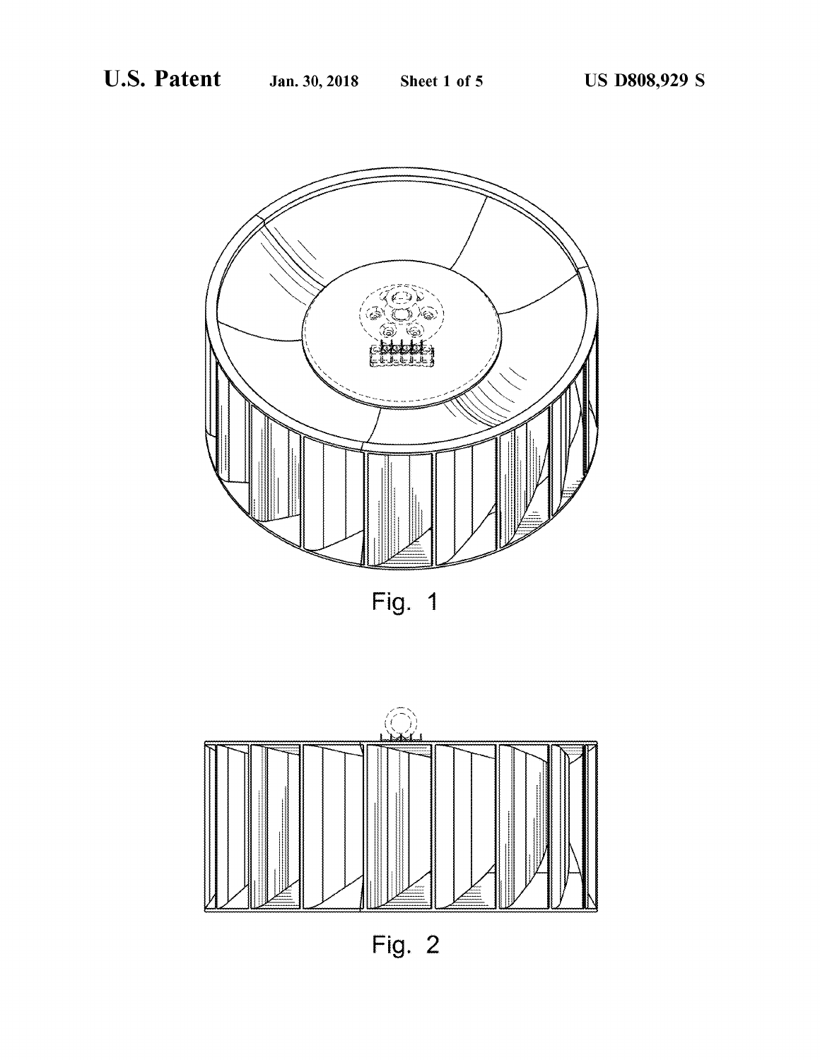

Fig. 1



Fig.  $2$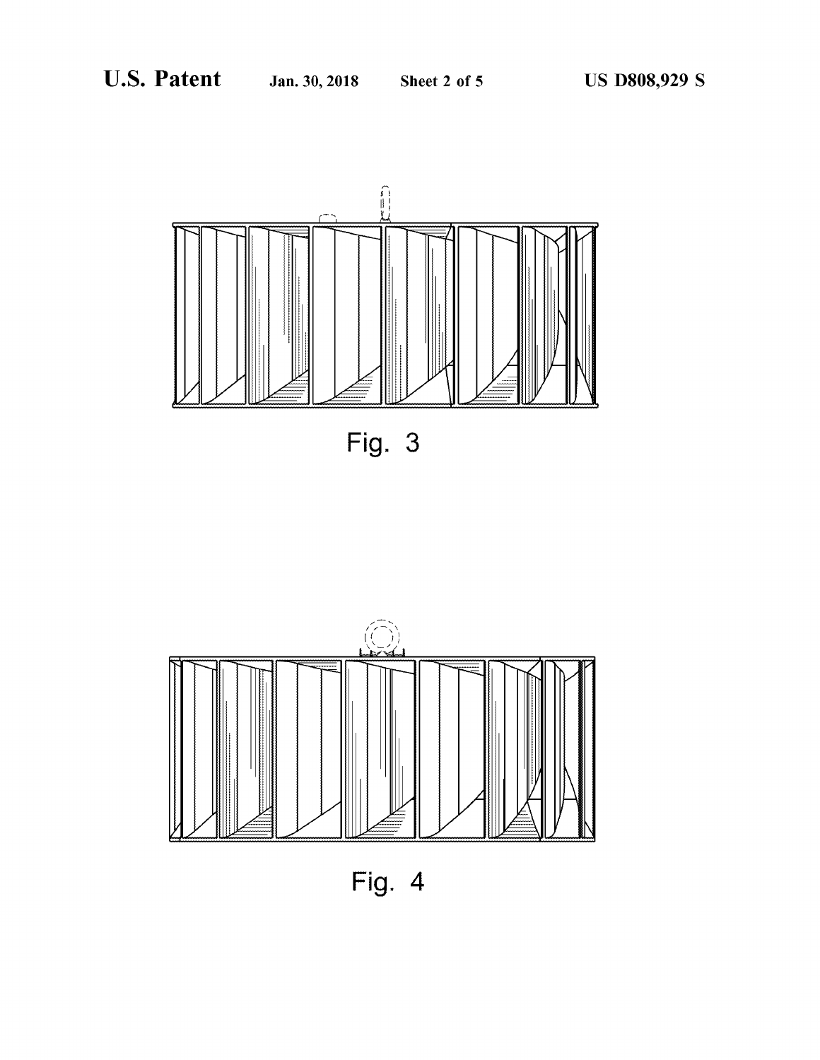

Fig. 3



Fig.  $4$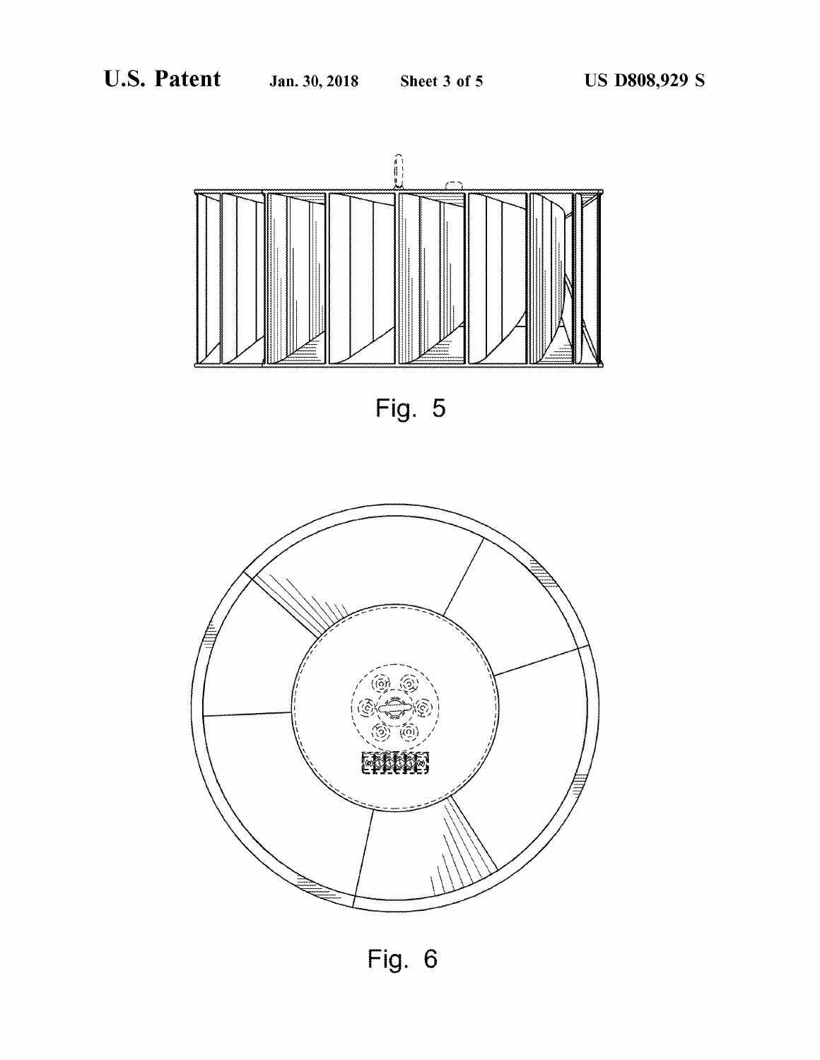

Fig. 5



Fig.  $6$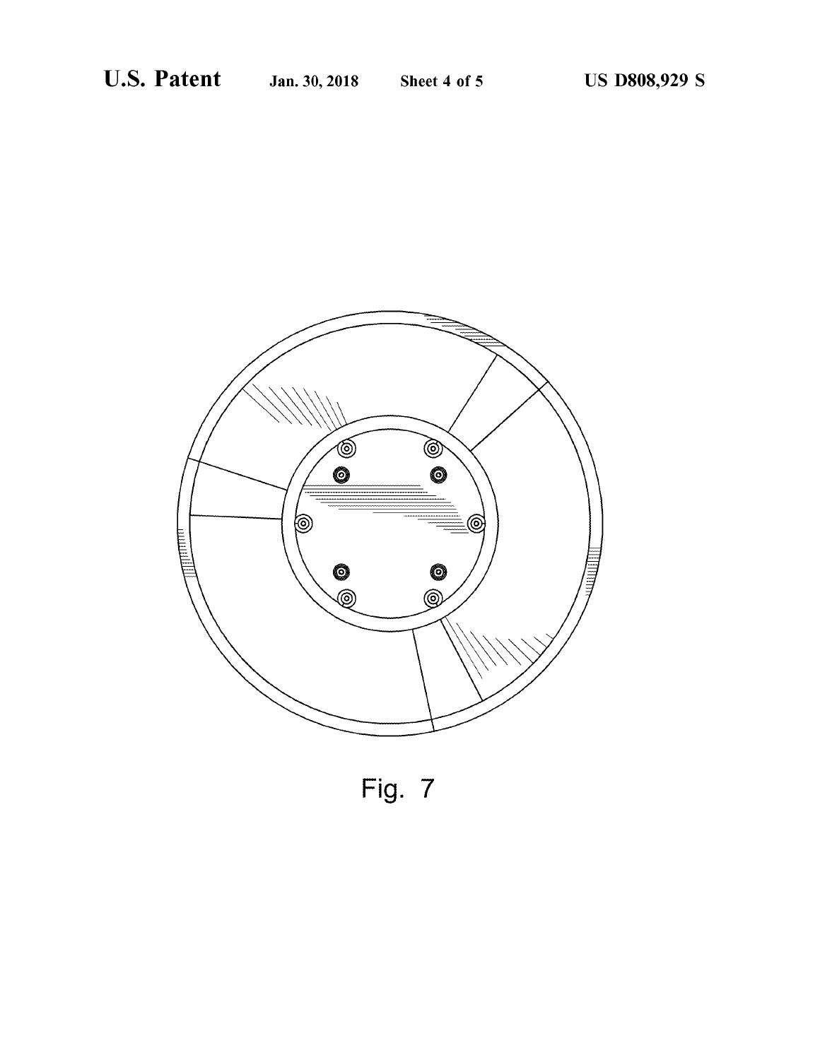

Fig. 7